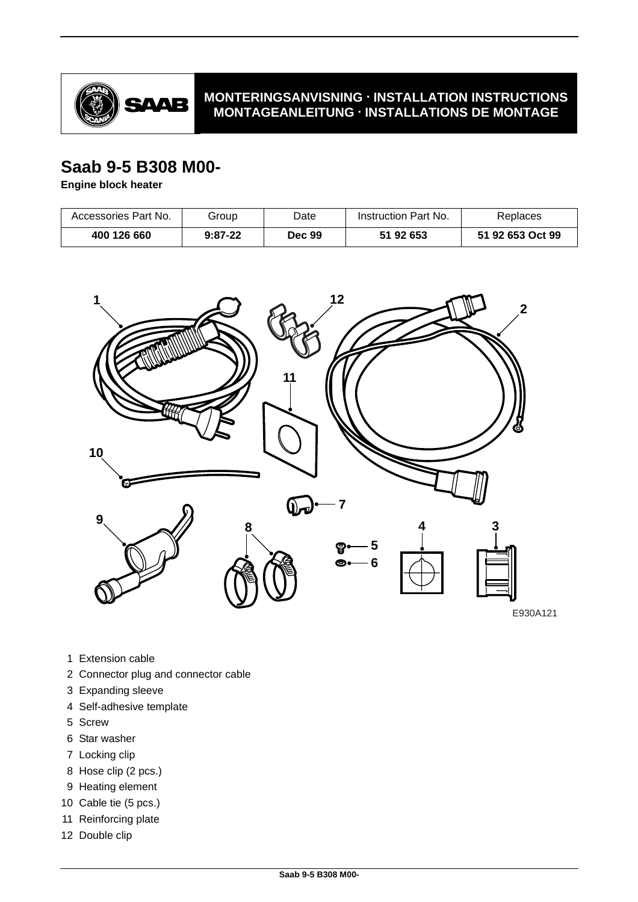

### **MONTERINGSANVISNING · INSTALLATION INSTRUCTIONS MONTAGEANLEITUNG · INSTALLATIONS DE MONTAGE**

# **Saab 9-5 B308 M00-**

**Engine block heater**

| Accessories Part No. | Group     | Date   | Instruction Part No. | Replaces         |
|----------------------|-----------|--------|----------------------|------------------|
| 400 126 660          | $9:87-22$ | Dec 99 | 51 92 653            | 51 92 653 Oct 99 |



- 1 Extension cable
- 2 Connector plug and connector cable
- 3 Expanding sleeve
- 4 Self-adhesive template
- 5 Screw
- 6 Star washer
- 7 Locking clip
- 8 Hose clip (2 pcs.)
- 9 Heating element
- 10 Cable tie (5 pcs.)
- 11 Reinforcing plate
- 12 Double clip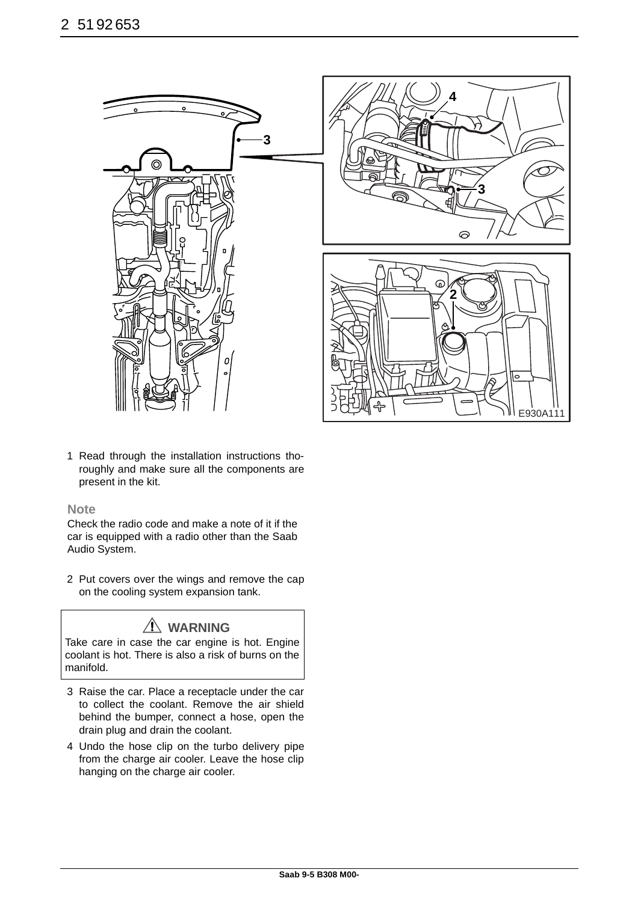

1 Read through the installation instructions thoroughly and make sure all the components are present in the kit.

#### **Note**

Check the radio code and make a note of it if the car is equipped with a radio other than the Saab Audio System.

2 Put covers over the wings and remove the cap on the cooling system expansion tank.

# **WARNING**

Take care in case the car engine is hot. Engine coolant is hot. There is also a risk of burns on the manifold.

- 3 Raise the car. Place a receptacle under the car to collect the coolant. Remove the air shield behind the bumper, connect a hose, open the drain plug and drain the coolant.
- 4 Undo the hose clip on the turbo delivery pipe from the charge air cooler. Leave the hose clip hanging on the charge air cooler.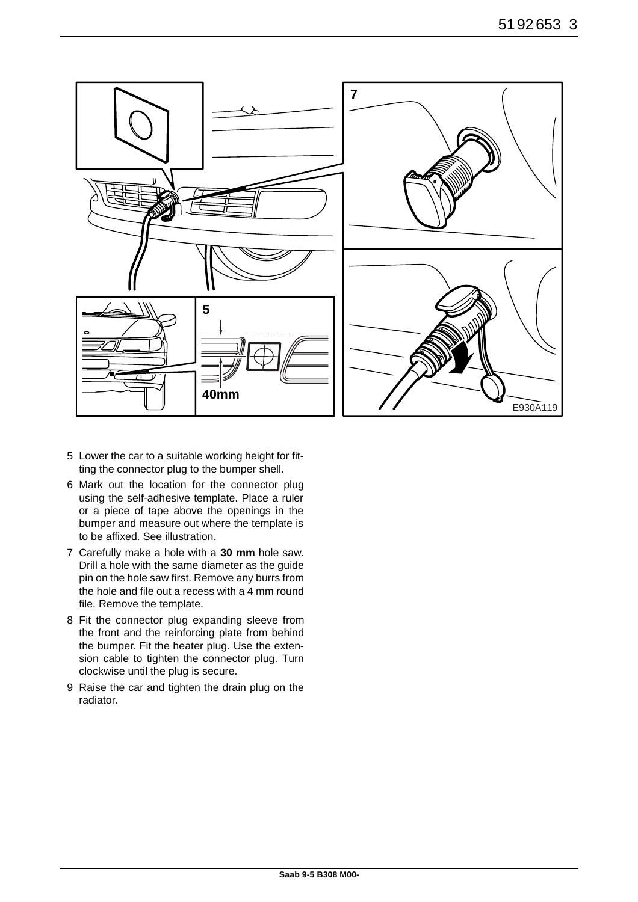

- 5 Lower the car to a suitable working height for fitting the connector plug to the bumper shell.
- 6 Mark out the location for the connector plug using the self-adhesive template. Place a ruler or a piece of tape above the openings in the bumper and measure out where the template is to be affixed. See illustration.
- 7 Carefully make a hole with a **30 mm** hole saw. Drill a hole with the same diameter as the guide pin on the hole saw first. Remove any burrs from the hole and file out a recess with a 4 mm round file. Remove the template.
- 8 Fit the connector plug expanding sleeve from the front and the reinforcing plate from behind the bumper. Fit the heater plug. Use the extension cable to tighten the connector plug. Turn clockwise until the plug is secure.
- 9 Raise the car and tighten the drain plug on the radiator.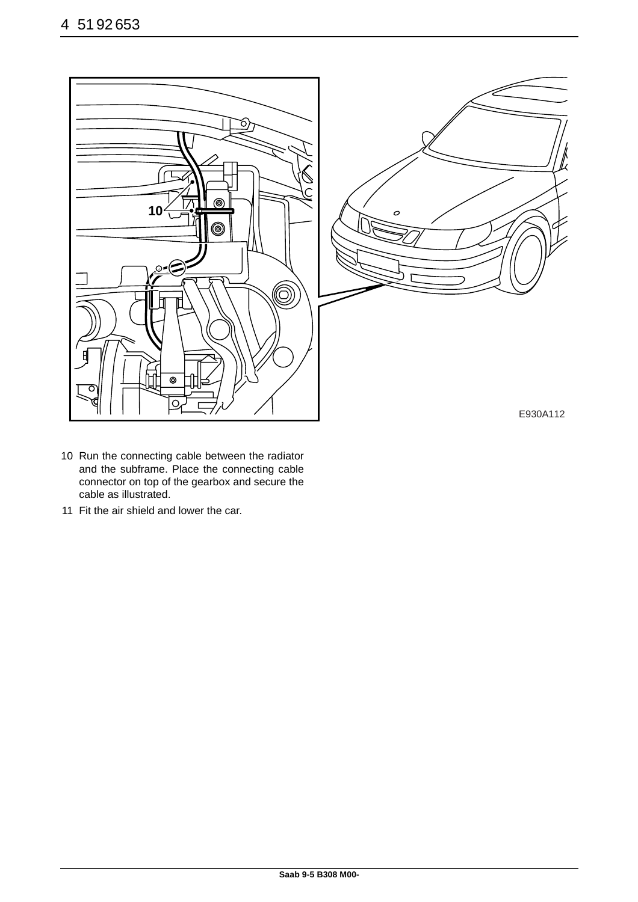

- 10 Run the connecting cable between the radiator and the subframe. Place the connecting cable connector on top of the gearbox and secure the cable as illustrated.
- 11 Fit the air shield and lower the car.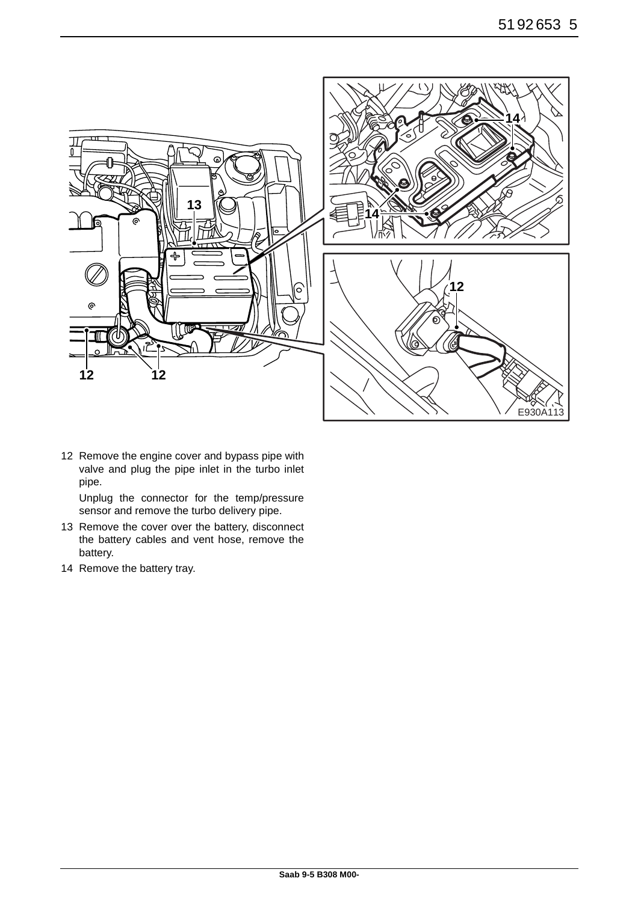

12 Remove the engine cover and bypass pipe with valve and plug the pipe inlet in the turbo inlet pipe.

Unplug the connector for the temp/pressure sensor and remove the turbo delivery pipe.

- 13 Remove the cover over the battery, disconnect the battery cables and vent hose, remove the battery.
- 14 Remove the battery tray.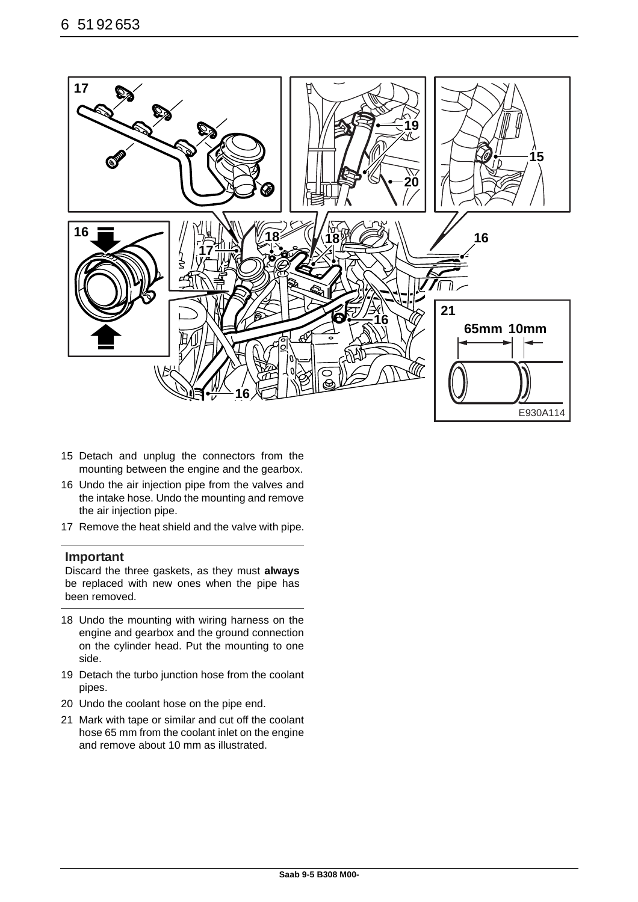

- 15 Detach and unplug the connectors from the mounting between the engine and the gearbox.
- 16 Undo the air injection pipe from the valves and the intake hose. Undo the mounting and remove the air injection pipe.
- 17 Remove the heat shield and the valve with pipe.

#### **Important**

Discard the three gaskets, as they must **always** be replaced with new ones when the pipe has been removed.

- 18 Undo the mounting with wiring harness on the engine and gearbox and the ground connection on the cylinder head. Put the mounting to one side.
- 19 Detach the turbo junction hose from the coolant pipes.
- 20 Undo the coolant hose on the pipe end.
- 21 Mark with tape or similar and cut off the coolant hose 65 mm from the coolant inlet on the engine and remove about 10 mm as illustrated.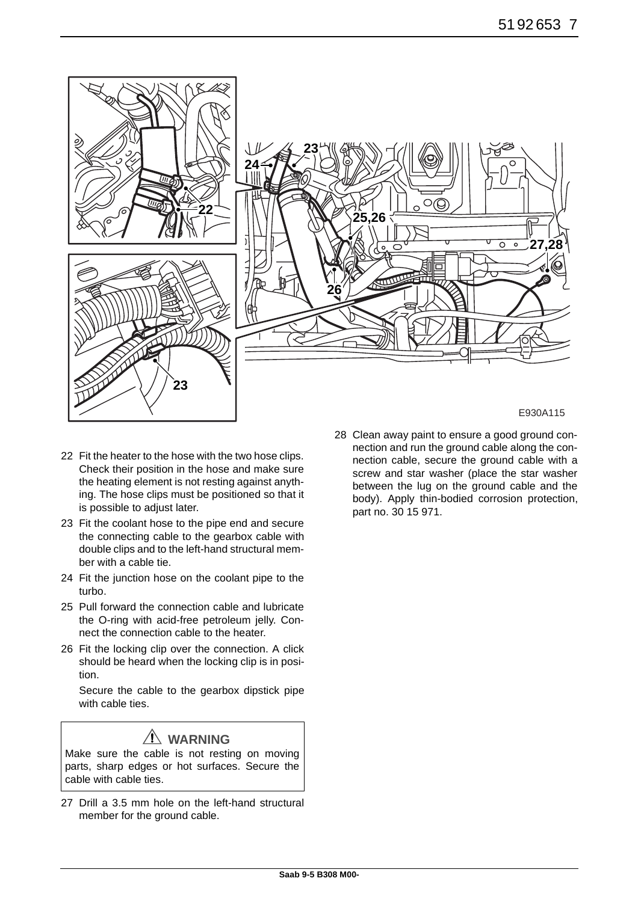

- 22 Fit the heater to the hose with the two hose clips. Check their position in the hose and make sure the heating element is not resting against anything. The hose clips must be positioned so that it is possible to adjust later.
- 23 Fit the coolant hose to the pipe end and secure the connecting cable to the gearbox cable with double clips and to the left-hand structural member with a cable tie.
- 24 Fit the junction hose on the coolant pipe to the turbo.
- 25 Pull forward the connection cable and lubricate the O-ring with acid-free petroleum jelly. Connect the connection cable to the heater.
- 26 Fit the locking clip over the connection. A click should be heard when the locking clip is in position.

Secure the cable to the gearbox dipstick pipe with cable ties.

## **WARNING**

Make sure the cable is not resting on moving parts, sharp edges or hot surfaces. Secure the cable with cable ties.

27 Drill a 3.5 mm hole on the left-hand structural member for the ground cable.

28 Clean away paint to ensure a good ground connection and run the ground cable along the connection cable, secure the ground cable with a screw and star washer (place the star washer between the lug on the ground cable and the body). Apply thin-bodied corrosion protection, part no. 30 15 971.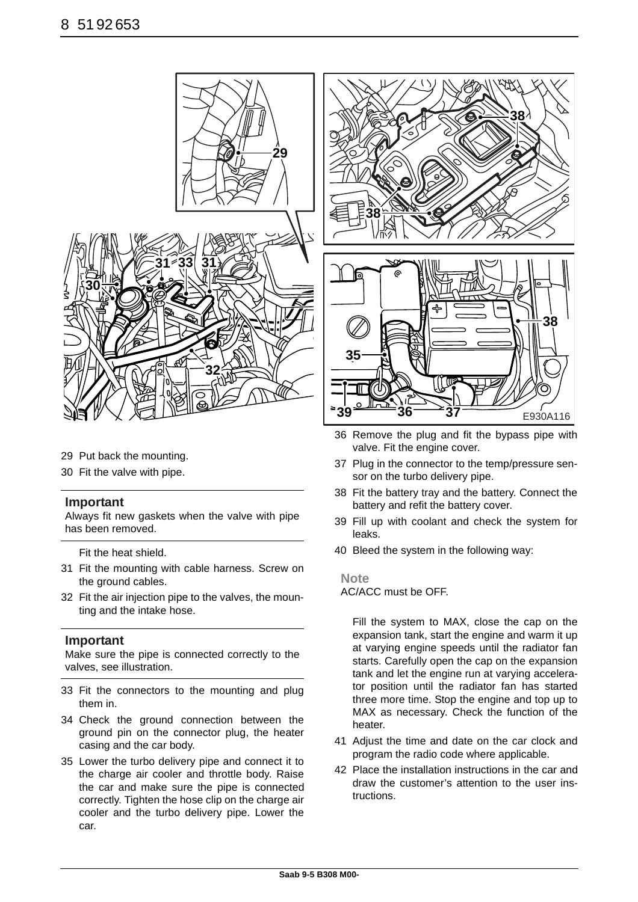

- 29 Put back the mounting.
- 30 Fit the valve with pipe.

#### **Important**

Always fit new gaskets when the valve with pipe has been removed.

Fit the heat shield.

- 31 Fit the mounting with cable harness. Screw on the ground cables.
- 32 Fit the air injection pipe to the valves, the mounting and the intake hose.

#### **Important**

Make sure the pipe is connected correctly to the valves, see illustration.

- 33 Fit the connectors to the mounting and plug them in.
- 34 Check the ground connection between the ground pin on the connector plug, the heater casing and the car body.
- 35 Lower the turbo delivery pipe and connect it to the charge air cooler and throttle body. Raise the car and make sure the pipe is connected correctly. Tighten the hose clip on the charge air cooler and the turbo delivery pipe. Lower the car.



- 36 Remove the plug and fit the bypass pipe with valve. Fit the engine cover.
- 37 Plug in the connector to the temp/pressure sensor on the turbo delivery pipe.
- 38 Fit the battery tray and the battery. Connect the battery and refit the battery cover.
- 39 Fill up with coolant and check the system for leaks.
- 40 Bleed the system in the following way:

#### **Note**

AC/ACC must be OFF.

Fill the system to MAX, close the cap on the expansion tank, start the engine and warm it up at varying engine speeds until the radiator fan starts. Carefully open the cap on the expansion tank and let the engine run at varying accelerator position until the radiator fan has started three more time. Stop the engine and top up to MAX as necessary. Check the function of the heater.

- 41 Adjust the time and date on the car clock and program the radio code where applicable.
- 42 Place the installation instructions in the car and draw the customer's attention to the user instructions.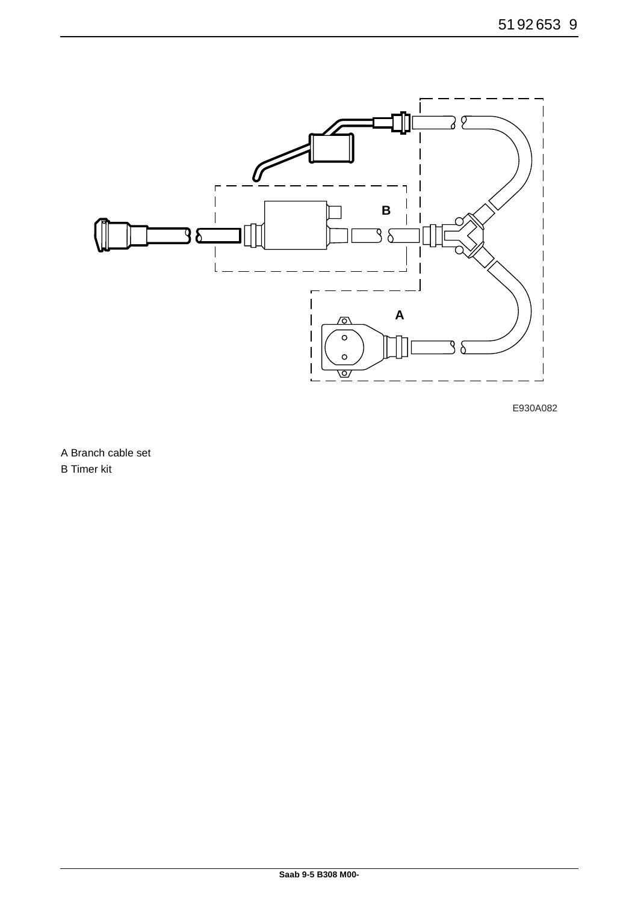

E930A082

A Branch cable set

B Timer kit